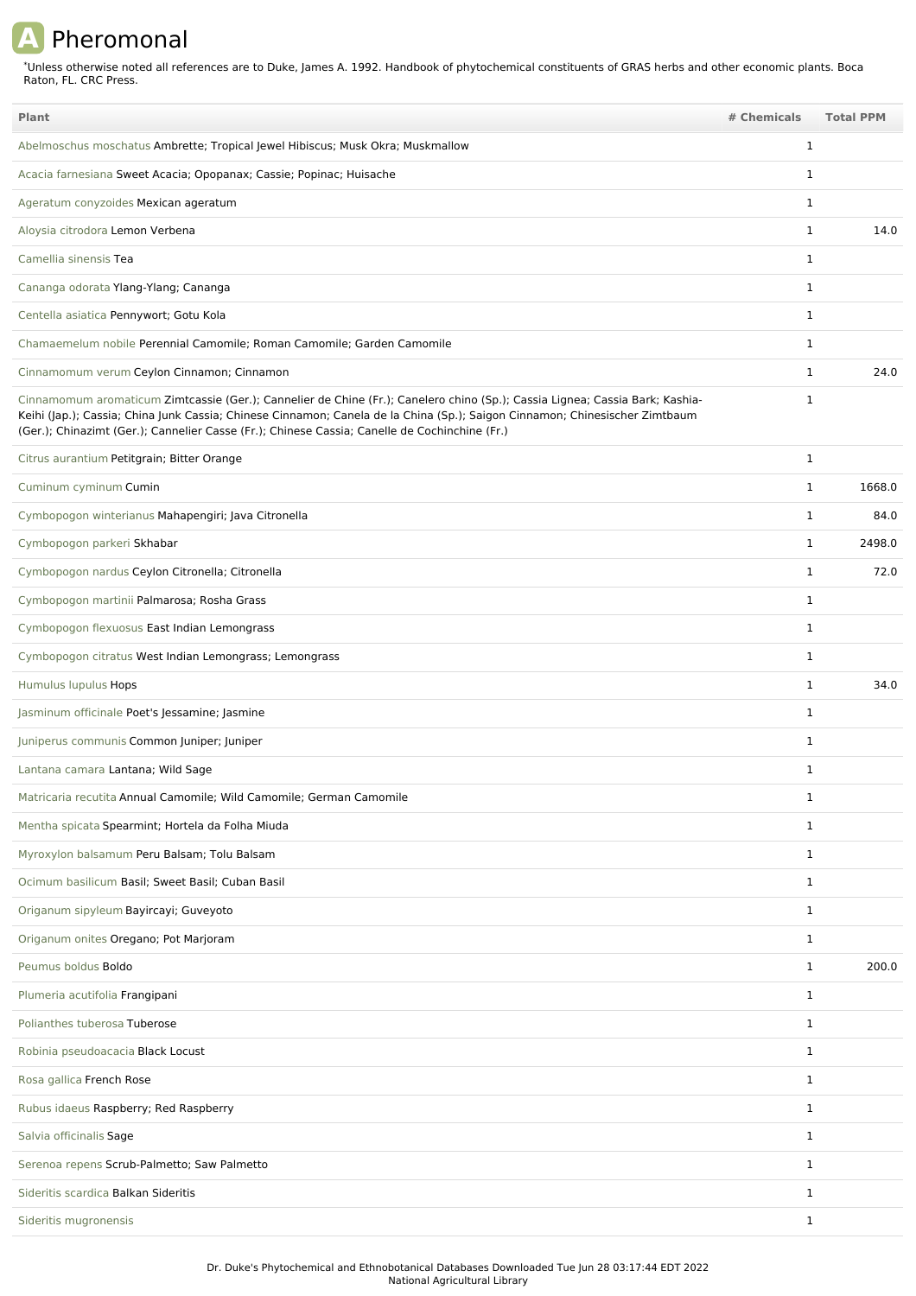## **A** Pheromonal

\*Unless otherwise noted all references are to Duke, James A. 1992. Handbook of phytochemical constituents of GRAS herbs and other economic plants. Boca Raton, FL. CRC Press.

| Plant                                                                                                                                                                                                                                                                                                                                                        | # Chemicals  | <b>Total PPM</b> |
|--------------------------------------------------------------------------------------------------------------------------------------------------------------------------------------------------------------------------------------------------------------------------------------------------------------------------------------------------------------|--------------|------------------|
| Abelmoschus moschatus Ambrette; Tropical Jewel Hibiscus; Musk Okra; Muskmallow                                                                                                                                                                                                                                                                               | 1            |                  |
| Acacia farnesiana Sweet Acacia; Opopanax; Cassie; Popinac; Huisache                                                                                                                                                                                                                                                                                          | $\mathbf 1$  |                  |
| Ageratum conyzoides Mexican ageratum                                                                                                                                                                                                                                                                                                                         | 1            |                  |
| Aloysia citrodora Lemon Verbena                                                                                                                                                                                                                                                                                                                              | $\mathbf{1}$ | 14.0             |
| Camellia sinensis Tea                                                                                                                                                                                                                                                                                                                                        | 1            |                  |
| Cananga odorata Ylang-Ylang; Cananga                                                                                                                                                                                                                                                                                                                         | 1            |                  |
| Centella asiatica Pennywort; Gotu Kola                                                                                                                                                                                                                                                                                                                       | 1            |                  |
| Chamaemelum nobile Perennial Camomile; Roman Camomile; Garden Camomile                                                                                                                                                                                                                                                                                       | $\mathbf 1$  |                  |
| Cinnamomum verum Ceylon Cinnamon; Cinnamon                                                                                                                                                                                                                                                                                                                   | $\mathbf{1}$ | 24.0             |
| Cinnamomum aromaticum Zimtcassie (Ger.); Cannelier de Chine (Fr.); Canelero chino (Sp.); Cassia Lignea; Cassia Bark; Kashia-<br>Keihi (Jap.); Cassia; China Junk Cassia; Chinese Cinnamon; Canela de la China (Sp.); Saigon Cinnamon; Chinesischer Zimtbaum<br>(Ger.); Chinazimt (Ger.); Cannelier Casse (Fr.); Chinese Cassia; Canelle de Cochinchine (Fr.) | $\mathbf 1$  |                  |
| Citrus aurantium Petitgrain; Bitter Orange                                                                                                                                                                                                                                                                                                                   | $\mathbf{1}$ |                  |
| Cuminum cyminum Cumin                                                                                                                                                                                                                                                                                                                                        | $\mathbf{1}$ | 1668.0           |
| Cymbopogon winterianus Mahapengiri; Java Citronella                                                                                                                                                                                                                                                                                                          | $\mathbf{1}$ | 84.0             |
| Cymbopogon parkeri Skhabar                                                                                                                                                                                                                                                                                                                                   | $\mathbf{1}$ | 2498.0           |
| Cymbopogon nardus Ceylon Citronella; Citronella                                                                                                                                                                                                                                                                                                              | $\mathbf{1}$ | 72.0             |
| Cymbopogon martinii Palmarosa; Rosha Grass                                                                                                                                                                                                                                                                                                                   | $\mathbf{1}$ |                  |
| Cymbopogon flexuosus East Indian Lemongrass                                                                                                                                                                                                                                                                                                                  | 1            |                  |
| Cymbopogon citratus West Indian Lemongrass; Lemongrass                                                                                                                                                                                                                                                                                                       | 1            |                  |
| Humulus lupulus Hops                                                                                                                                                                                                                                                                                                                                         | 1            | 34.0             |
| Jasminum officinale Poet's Jessamine; Jasmine                                                                                                                                                                                                                                                                                                                | $\mathbf{1}$ |                  |
| Juniperus communis Common Juniper; Juniper                                                                                                                                                                                                                                                                                                                   | $\mathbf 1$  |                  |
| Lantana camara Lantana; Wild Sage                                                                                                                                                                                                                                                                                                                            | $\mathbf 1$  |                  |
| Matricaria recutita Annual Camomile; Wild Camomile; German Camomile                                                                                                                                                                                                                                                                                          | 1            |                  |
| Mentha spicata Spearmint; Hortela da Folha Miuda                                                                                                                                                                                                                                                                                                             | 1            |                  |
| Myroxylon balsamum Peru Balsam; Tolu Balsam                                                                                                                                                                                                                                                                                                                  | $\mathbf{1}$ |                  |
| Ocimum basilicum Basil; Sweet Basil; Cuban Basil                                                                                                                                                                                                                                                                                                             | $\mathbf{1}$ |                  |
| Origanum sipyleum Bayircayi; Guveyoto                                                                                                                                                                                                                                                                                                                        | 1            |                  |
| Origanum onites Oregano; Pot Marjoram                                                                                                                                                                                                                                                                                                                        | $\mathbf{1}$ |                  |
| Peumus boldus Boldo                                                                                                                                                                                                                                                                                                                                          | $\mathbf{1}$ | 200.0            |
| Plumeria acutifolia Frangipani                                                                                                                                                                                                                                                                                                                               | $\mathbf{1}$ |                  |
| Polianthes tuberosa Tuberose                                                                                                                                                                                                                                                                                                                                 | $\mathbf{1}$ |                  |
| Robinia pseudoacacia Black Locust                                                                                                                                                                                                                                                                                                                            | $\mathbf{1}$ |                  |
| Rosa gallica French Rose                                                                                                                                                                                                                                                                                                                                     | 1            |                  |
| Rubus idaeus Raspberry; Red Raspberry                                                                                                                                                                                                                                                                                                                        | $\mathbf{1}$ |                  |
| Salvia officinalis Sage                                                                                                                                                                                                                                                                                                                                      | 1            |                  |
| Serenoa repens Scrub-Palmetto; Saw Palmetto                                                                                                                                                                                                                                                                                                                  | $\mathbf{1}$ |                  |
| Sideritis scardica Balkan Sideritis                                                                                                                                                                                                                                                                                                                          | 1            |                  |
| Sideritis mugronensis                                                                                                                                                                                                                                                                                                                                        | $\mathbf{1}$ |                  |